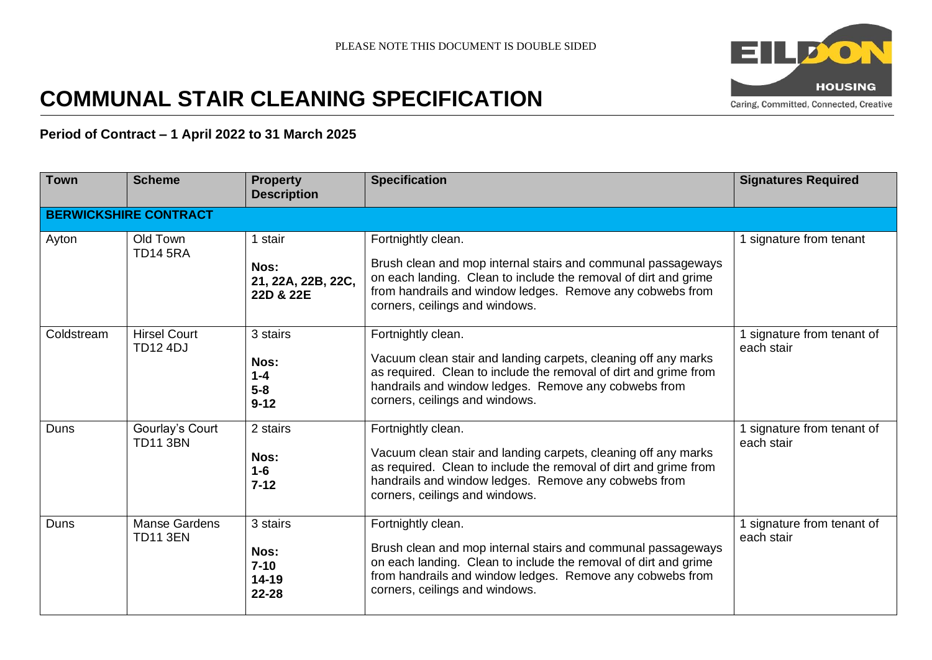

# **COMMUNAL STAIR CLEANING SPECIFICATION**

## **Period of Contract – 1 April 2022 to 31 March 2025**

| <b>Town</b> | <b>Scheme</b>                           | <b>Property</b><br><b>Description</b>              | <b>Specification</b>                                                                                                                                                                                                                                 | <b>Signatures Required</b>               |
|-------------|-----------------------------------------|----------------------------------------------------|------------------------------------------------------------------------------------------------------------------------------------------------------------------------------------------------------------------------------------------------------|------------------------------------------|
|             | <b>BERWICKSHIRE CONTRACT</b>            |                                                    |                                                                                                                                                                                                                                                      |                                          |
| Ayton       | Old Town<br><b>TD14 5RA</b>             | 1 stair<br>Nos:<br>21, 22A, 22B, 22C,<br>22D & 22E | Fortnightly clean.<br>Brush clean and mop internal stairs and communal passageways<br>on each landing. Clean to include the removal of dirt and grime<br>from handrails and window ledges. Remove any cobwebs from<br>corners, ceilings and windows. | 1 signature from tenant                  |
| Coldstream  | <b>Hirsel Court</b><br><b>TD12 4DJ</b>  | 3 stairs<br>Nos:<br>$1 - 4$<br>$5-8$<br>$9 - 12$   | Fortnightly clean.<br>Vacuum clean stair and landing carpets, cleaning off any marks<br>as required. Clean to include the removal of dirt and grime from<br>handrails and window ledges. Remove any cobwebs from<br>corners, ceilings and windows.   | 1 signature from tenant of<br>each stair |
| Duns        | Gourlay's Court<br><b>TD11 3BN</b>      | 2 stairs<br>Nos:<br>$1 - 6$<br>$7 - 12$            | Fortnightly clean.<br>Vacuum clean stair and landing carpets, cleaning off any marks<br>as required. Clean to include the removal of dirt and grime from<br>handrails and window ledges. Remove any cobwebs from<br>corners, ceilings and windows.   | 1 signature from tenant of<br>each stair |
| Duns        | <b>Manse Gardens</b><br><b>TD11 3EN</b> | 3 stairs<br>Nos:<br>$7 - 10$<br>14-19<br>22-28     | Fortnightly clean.<br>Brush clean and mop internal stairs and communal passageways<br>on each landing. Clean to include the removal of dirt and grime<br>from handrails and window ledges. Remove any cobwebs from<br>corners, ceilings and windows. | 1 signature from tenant of<br>each stair |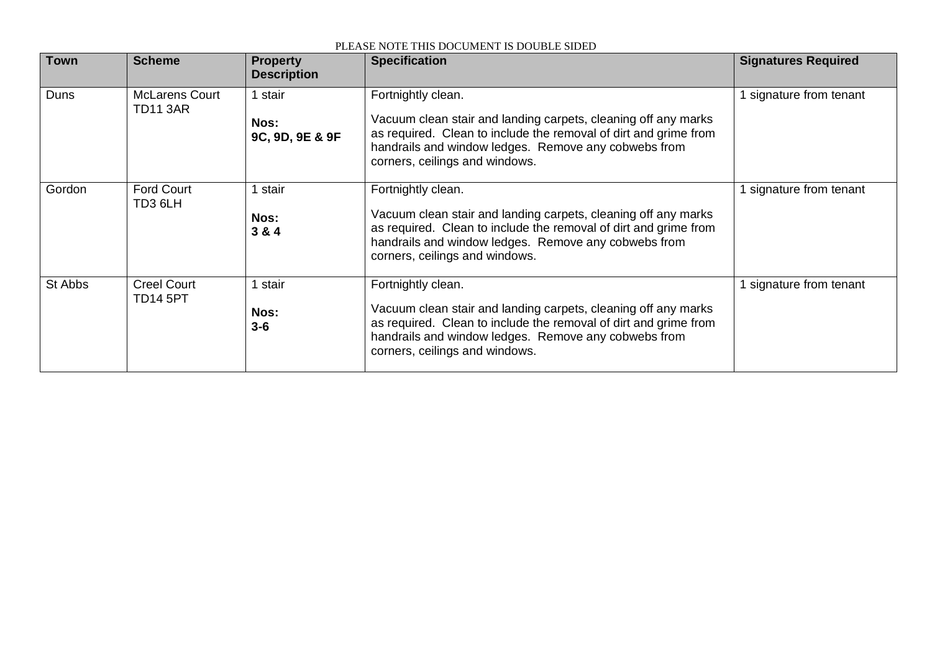| <b>Town</b> | <b>Scheme</b>                            | <b>Property</b><br><b>Description</b> | <b>Specification</b>                                                                                                                                                                                                                               | <b>Signatures Required</b> |
|-------------|------------------------------------------|---------------------------------------|----------------------------------------------------------------------------------------------------------------------------------------------------------------------------------------------------------------------------------------------------|----------------------------|
| Duns        | <b>McLarens Court</b><br><b>TD11 3AR</b> | stair<br>Nos:<br>9C, 9D, 9E & 9F      | Fortnightly clean.<br>Vacuum clean stair and landing carpets, cleaning off any marks<br>as required. Clean to include the removal of dirt and grime from<br>handrails and window ledges. Remove any cobwebs from<br>corners, ceilings and windows. | 1 signature from tenant    |
| Gordon      | <b>Ford Court</b><br>TD3 6LH             | stair<br>Nos:<br>3 & 4                | Fortnightly clean.<br>Vacuum clean stair and landing carpets, cleaning off any marks<br>as required. Clean to include the removal of dirt and grime from<br>handrails and window ledges. Remove any cobwebs from<br>corners, ceilings and windows. | 1 signature from tenant    |
| St Abbs     | <b>Creel Court</b><br><b>TD14 5PT</b>    | stair<br>Nos:<br>$3 - 6$              | Fortnightly clean.<br>Vacuum clean stair and landing carpets, cleaning off any marks<br>as required. Clean to include the removal of dirt and grime from<br>handrails and window ledges. Remove any cobwebs from<br>corners, ceilings and windows. | 1 signature from tenant    |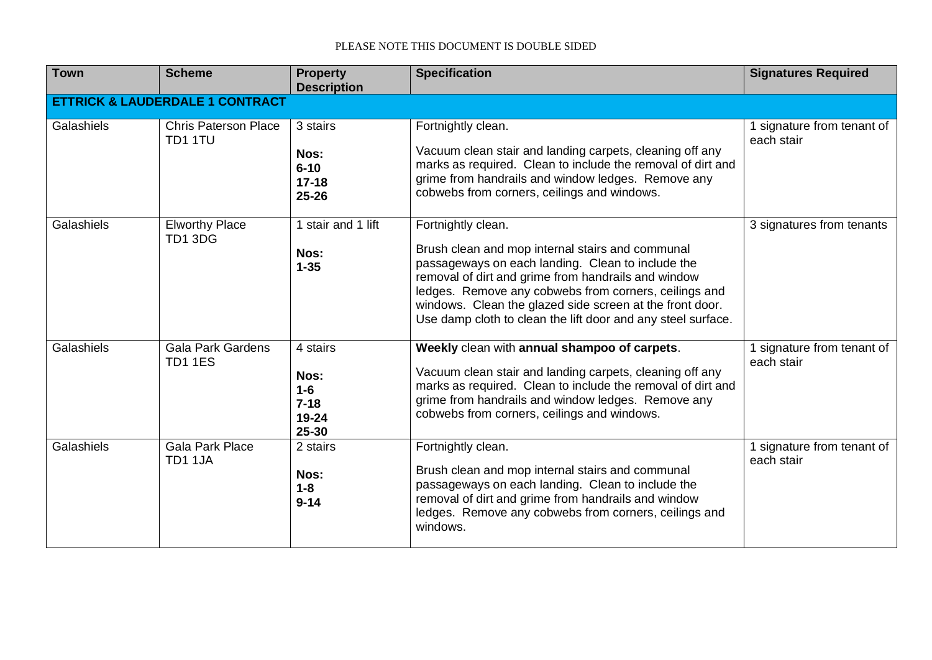| <b>Town</b> | <b>Scheme</b>                              | <b>Property</b><br><b>Description</b>                     | <b>Specification</b>                                                                                                                                                                                                                                                                                                                                                    | <b>Signatures Required</b>               |  |  |  |
|-------------|--------------------------------------------|-----------------------------------------------------------|-------------------------------------------------------------------------------------------------------------------------------------------------------------------------------------------------------------------------------------------------------------------------------------------------------------------------------------------------------------------------|------------------------------------------|--|--|--|
|             | <b>ETTRICK &amp; LAUDERDALE 1 CONTRACT</b> |                                                           |                                                                                                                                                                                                                                                                                                                                                                         |                                          |  |  |  |
| Galashiels  | <b>Chris Paterson Place</b><br>TD1 1TU     | 3 stairs<br>Nos:<br>$6 - 10$<br>$17 - 18$<br>25-26        | Fortnightly clean.<br>Vacuum clean stair and landing carpets, cleaning off any<br>marks as required. Clean to include the removal of dirt and<br>grime from handrails and window ledges. Remove any<br>cobwebs from corners, ceilings and windows.                                                                                                                      | 1 signature from tenant of<br>each stair |  |  |  |
| Galashiels  | <b>Elworthy Place</b><br>TD1 3DG           | 1 stair and 1 lift<br>Nos:<br>$1 - 35$                    | Fortnightly clean.<br>Brush clean and mop internal stairs and communal<br>passageways on each landing. Clean to include the<br>removal of dirt and grime from handrails and window<br>ledges. Remove any cobwebs from corners, ceilings and<br>windows. Clean the glazed side screen at the front door.<br>Use damp cloth to clean the lift door and any steel surface. | 3 signatures from tenants                |  |  |  |
| Galashiels  | <b>Gala Park Gardens</b><br><b>TD1 1ES</b> | 4 stairs<br>Nos:<br>$1 - 6$<br>$7 - 18$<br>19-24<br>25-30 | Weekly clean with annual shampoo of carpets.<br>Vacuum clean stair and landing carpets, cleaning off any<br>marks as required. Clean to include the removal of dirt and<br>grime from handrails and window ledges. Remove any<br>cobwebs from corners, ceilings and windows.                                                                                            | 1 signature from tenant of<br>each stair |  |  |  |
| Galashiels  | <b>Gala Park Place</b><br>TD1 1JA          | 2 stairs<br>Nos:<br>$1 - 8$<br>$9 - 14$                   | Fortnightly clean.<br>Brush clean and mop internal stairs and communal<br>passageways on each landing. Clean to include the<br>removal of dirt and grime from handrails and window<br>ledges. Remove any cobwebs from corners, ceilings and<br>windows.                                                                                                                 | 1 signature from tenant of<br>each stair |  |  |  |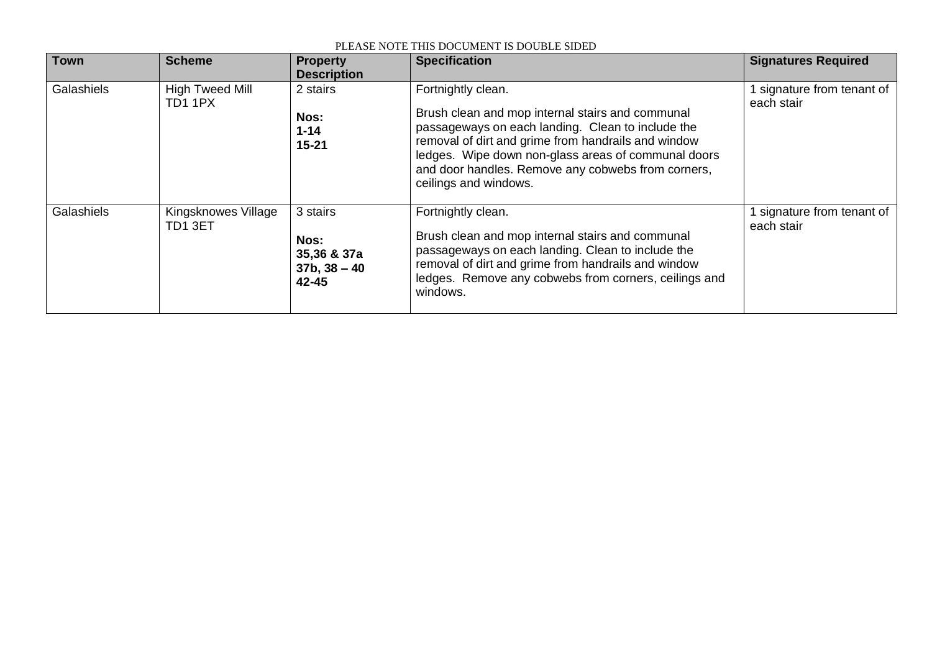| <b>Town</b> | <b>Scheme</b>                     | <b>Property</b><br><b>Description</b>                      | <b>Specification</b>                                                                                                                                                                                                                                                                                                     | <b>Signatures Required</b>               |
|-------------|-----------------------------------|------------------------------------------------------------|--------------------------------------------------------------------------------------------------------------------------------------------------------------------------------------------------------------------------------------------------------------------------------------------------------------------------|------------------------------------------|
| Galashiels  | <b>High Tweed Mill</b><br>TD1 1PX | 2 stairs<br>Nos:<br>$1 - 14$<br>$15 - 21$                  | Fortnightly clean.<br>Brush clean and mop internal stairs and communal<br>passageways on each landing. Clean to include the<br>removal of dirt and grime from handrails and window<br>ledges. Wipe down non-glass areas of communal doors<br>and door handles. Remove any cobwebs from corners,<br>ceilings and windows. | 1 signature from tenant of<br>each stair |
| Galashiels  | Kingsknowes Village<br>TD1 3ET    | 3 stairs<br>Nos:<br>35,36 & 37a<br>$37b, 38 - 40$<br>42-45 | Fortnightly clean.<br>Brush clean and mop internal stairs and communal<br>passageways on each landing. Clean to include the<br>removal of dirt and grime from handrails and window<br>ledges. Remove any cobwebs from corners, ceilings and<br>windows.                                                                  | signature from tenant of<br>each stair   |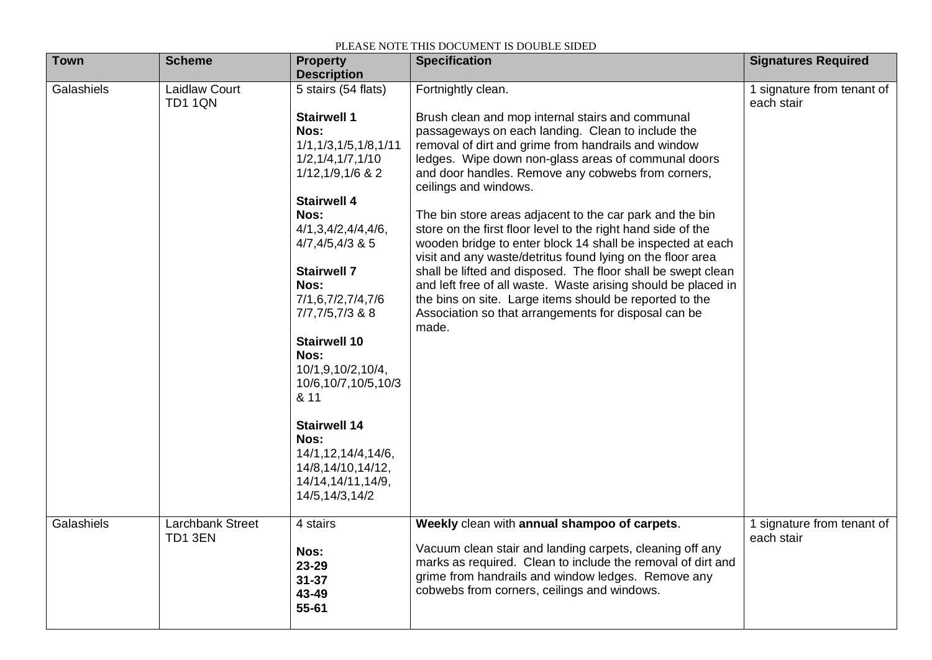| <b>Town</b> | <b>Scheme</b>                          | <b>Property</b><br><b>Description</b>                                                                                                                                                                                                                                                                                                                                                                                                                                                  | <b>Specification</b>                                                                                                                                                                                                                                                                                                                                                                                                                                                                                                                                                                                                                                                                                                                                                                                                                          | <b>Signatures Required</b>               |
|-------------|----------------------------------------|----------------------------------------------------------------------------------------------------------------------------------------------------------------------------------------------------------------------------------------------------------------------------------------------------------------------------------------------------------------------------------------------------------------------------------------------------------------------------------------|-----------------------------------------------------------------------------------------------------------------------------------------------------------------------------------------------------------------------------------------------------------------------------------------------------------------------------------------------------------------------------------------------------------------------------------------------------------------------------------------------------------------------------------------------------------------------------------------------------------------------------------------------------------------------------------------------------------------------------------------------------------------------------------------------------------------------------------------------|------------------------------------------|
| Galashiels  | <b>Laidlaw Court</b><br><b>TD1 1QN</b> | 5 stairs (54 flats)<br><b>Stairwell 1</b><br>Nos:<br>1/1, 1/3, 1/5, 1/8, 1/11<br>1/2, 1/4, 1/7, 1/10<br>$1/12, 1/9, 1/6$ & 2<br><b>Stairwell 4</b><br>Nos:<br>4/1,3,4/2,4/4,4/6,<br>$4/7, 4/5, 4/3$ & 5<br><b>Stairwell 7</b><br>Nos:<br>7/1,6,7/2,7/4,7/6<br>7/7,7/5,7/3 & 8<br><b>Stairwell 10</b><br>Nos:<br>10/1,9,10/2,10/4,<br>10/6,10/7,10/5,10/3<br>& 11<br><b>Stairwell 14</b><br>Nos:<br>14/1, 12, 14/4, 14/6,<br>14/8,14/10,14/12,<br>14/14, 14/11, 14/9,<br>14/5,14/3,14/2 | Fortnightly clean.<br>Brush clean and mop internal stairs and communal<br>passageways on each landing. Clean to include the<br>removal of dirt and grime from handrails and window<br>ledges. Wipe down non-glass areas of communal doors<br>and door handles. Remove any cobwebs from corners,<br>ceilings and windows.<br>The bin store areas adjacent to the car park and the bin<br>store on the first floor level to the right hand side of the<br>wooden bridge to enter block 14 shall be inspected at each<br>visit and any waste/detritus found lying on the floor area<br>shall be lifted and disposed. The floor shall be swept clean<br>and left free of all waste. Waste arising should be placed in<br>the bins on site. Large items should be reported to the<br>Association so that arrangements for disposal can be<br>made. | 1 signature from tenant of<br>each stair |
| Galashiels  | Larchbank Street<br>TD1 3EN            | 4 stairs<br>Nos:<br>23-29<br>$31 - 37$<br>43-49<br>55-61                                                                                                                                                                                                                                                                                                                                                                                                                               | Weekly clean with annual shampoo of carpets.<br>Vacuum clean stair and landing carpets, cleaning off any<br>marks as required. Clean to include the removal of dirt and<br>grime from handrails and window ledges. Remove any<br>cobwebs from corners, ceilings and windows.                                                                                                                                                                                                                                                                                                                                                                                                                                                                                                                                                                  | 1 signature from tenant of<br>each stair |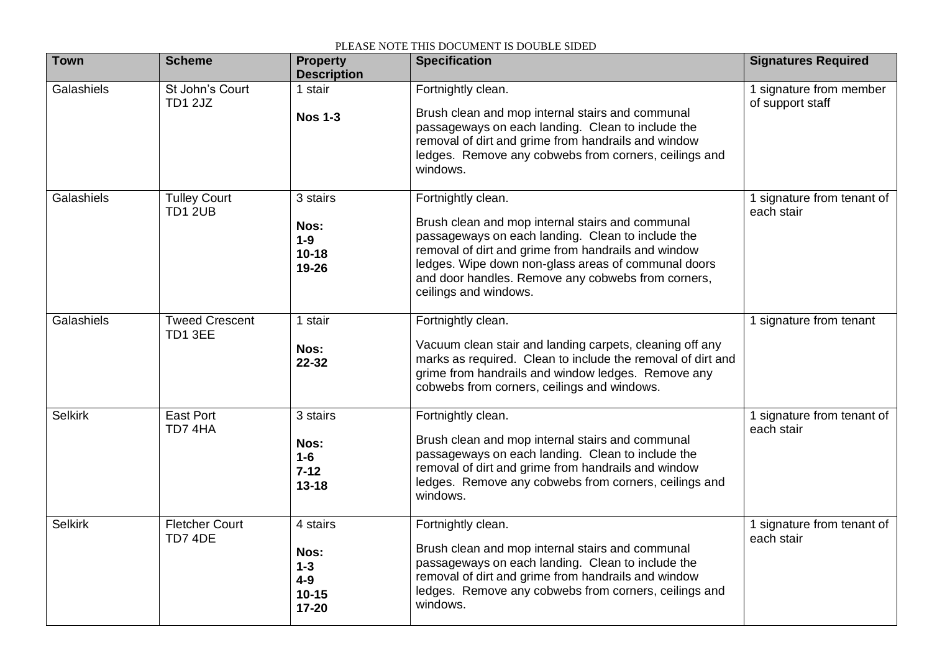| <b>Town</b>    | <b>Scheme</b>                         | <b>Property</b><br><b>Description</b>                      | <b>Specification</b>                                                                                                                                                                                                                                                                                                     | <b>Signatures Required</b>                  |
|----------------|---------------------------------------|------------------------------------------------------------|--------------------------------------------------------------------------------------------------------------------------------------------------------------------------------------------------------------------------------------------------------------------------------------------------------------------------|---------------------------------------------|
| Galashiels     | St John's Court<br>TD1 2JZ            | 1 stair<br><b>Nos 1-3</b>                                  | Fortnightly clean.<br>Brush clean and mop internal stairs and communal<br>passageways on each landing. Clean to include the<br>removal of dirt and grime from handrails and window<br>ledges. Remove any cobwebs from corners, ceilings and<br>windows.                                                                  | 1 signature from member<br>of support staff |
| Galashiels     | <b>Tulley Court</b><br><b>TD1 2UB</b> | 3 stairs<br>Nos:<br>$1-9$<br>$10 - 18$<br>19-26            | Fortnightly clean.<br>Brush clean and mop internal stairs and communal<br>passageways on each landing. Clean to include the<br>removal of dirt and grime from handrails and window<br>ledges. Wipe down non-glass areas of communal doors<br>and door handles. Remove any cobwebs from corners,<br>ceilings and windows. | 1 signature from tenant of<br>each stair    |
| Galashiels     | <b>Tweed Crescent</b><br>TD1 3EE      | 1 stair<br>Nos:<br>22-32                                   | Fortnightly clean.<br>Vacuum clean stair and landing carpets, cleaning off any<br>marks as required. Clean to include the removal of dirt and<br>grime from handrails and window ledges. Remove any<br>cobwebs from corners, ceilings and windows.                                                                       | 1 signature from tenant                     |
| <b>Selkirk</b> | <b>East Port</b><br>TD7 4HA           | 3 stairs<br>Nos:<br>$1-6$<br>$7 - 12$<br>$13 - 18$         | Fortnightly clean.<br>Brush clean and mop internal stairs and communal<br>passageways on each landing. Clean to include the<br>removal of dirt and grime from handrails and window<br>ledges. Remove any cobwebs from corners, ceilings and<br>windows.                                                                  | 1 signature from tenant of<br>each stair    |
| <b>Selkirk</b> | <b>Fletcher Court</b><br>TD7 4DE      | 4 stairs<br>Nos:<br>$1 - 3$<br>$4-9$<br>$10 - 15$<br>17-20 | Fortnightly clean.<br>Brush clean and mop internal stairs and communal<br>passageways on each landing. Clean to include the<br>removal of dirt and grime from handrails and window<br>ledges. Remove any cobwebs from corners, ceilings and<br>windows.                                                                  | 1 signature from tenant of<br>each stair    |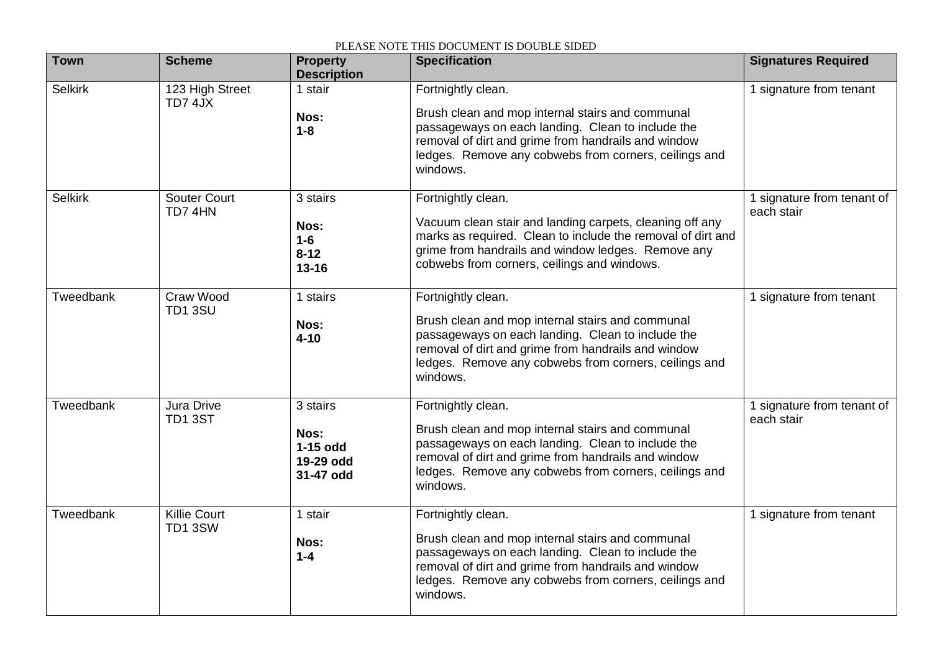| <b>Town</b>    | <b>Scheme</b>                  | <b>Property</b><br><b>Description</b>                    | <b>Specification</b>                                                                                                                                                                                                                                    | <b>Signatures Required</b>               |
|----------------|--------------------------------|----------------------------------------------------------|---------------------------------------------------------------------------------------------------------------------------------------------------------------------------------------------------------------------------------------------------------|------------------------------------------|
| <b>Selkirk</b> | 123 High Street<br>TD7 4JX     | 1 stair<br>Nos:<br>$1 - 8$                               | Fortnightly clean.<br>Brush clean and mop internal stairs and communal<br>passageways on each landing. Clean to include the<br>removal of dirt and grime from handrails and window<br>ledges. Remove any cobwebs from corners, ceilings and<br>windows. | 1 signature from tenant                  |
| <b>Selkirk</b> | <b>Souter Court</b><br>TD7 4HN | 3 stairs<br>Nos:<br>$1-6$<br>$8 - 12$<br>$13 - 16$       | Fortnightly clean.<br>Vacuum clean stair and landing carpets, cleaning off any<br>marks as required. Clean to include the removal of dirt and<br>grime from handrails and window ledges. Remove any<br>cobwebs from corners, ceilings and windows.      | 1 signature from tenant of<br>each stair |
| Tweedbank      | Craw Wood<br><b>TD1 3SU</b>    | 1 stairs<br>Nos:<br>$4 - 10$                             | Fortnightly clean.<br>Brush clean and mop internal stairs and communal<br>passageways on each landing. Clean to include the<br>removal of dirt and grime from handrails and window<br>ledges. Remove any cobwebs from corners, ceilings and<br>windows. | 1 signature from tenant                  |
| Tweedbank      | Jura Drive<br>TD1 3ST          | 3 stairs<br>Nos:<br>$1-15$ odd<br>19-29 odd<br>31-47 odd | Fortnightly clean.<br>Brush clean and mop internal stairs and communal<br>passageways on each landing. Clean to include the<br>removal of dirt and grime from handrails and window<br>ledges. Remove any cobwebs from corners, ceilings and<br>windows. | 1 signature from tenant of<br>each stair |
| Tweedbank      | <b>Killie Court</b><br>TD1 3SW | 1 stair<br>Nos:<br>$1 - 4$                               | Fortnightly clean.<br>Brush clean and mop internal stairs and communal<br>passageways on each landing. Clean to include the<br>removal of dirt and grime from handrails and window<br>ledges. Remove any cobwebs from corners, ceilings and<br>windows. | 1 signature from tenant                  |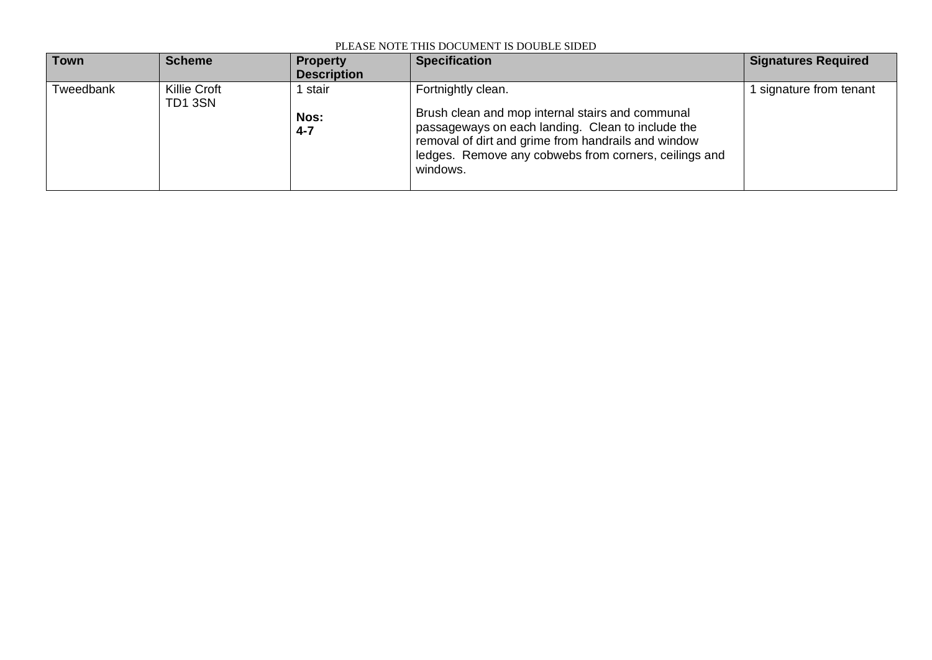| <b>Town</b> | <b>Scheme</b>          | <b>Property</b><br><b>Description</b> | <b>Specification</b>                                                                                                                                                                                                                                    | <b>Signatures Required</b> |
|-------------|------------------------|---------------------------------------|---------------------------------------------------------------------------------------------------------------------------------------------------------------------------------------------------------------------------------------------------------|----------------------------|
| Tweedbank   | Killie Croft<br>TD13SN | stair<br>Nos:<br>$4 - 7$              | Fortnightly clean.<br>Brush clean and mop internal stairs and communal<br>passageways on each landing. Clean to include the<br>removal of dirt and grime from handrails and window<br>ledges. Remove any cobwebs from corners, ceilings and<br>windows. | signature from tenant      |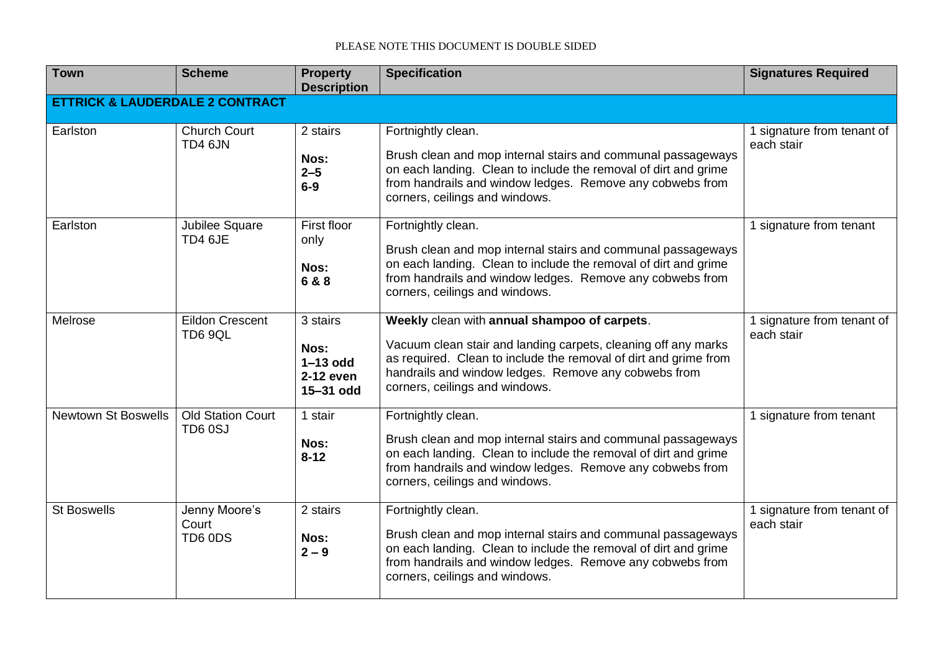| <b>Town</b>                | <b>Scheme</b>                              | <b>Property</b><br><b>Description</b>                    | <b>Specification</b>                                                                                                                                                                                                                                                         | <b>Signatures Required</b>               |  |  |  |
|----------------------------|--------------------------------------------|----------------------------------------------------------|------------------------------------------------------------------------------------------------------------------------------------------------------------------------------------------------------------------------------------------------------------------------------|------------------------------------------|--|--|--|
|                            | <b>ETTRICK &amp; LAUDERDALE 2 CONTRACT</b> |                                                          |                                                                                                                                                                                                                                                                              |                                          |  |  |  |
| Earlston                   | <b>Church Court</b><br>TD4 6JN             | 2 stairs<br>Nos:<br>$2 - 5$<br>$6-9$                     | Fortnightly clean.<br>Brush clean and mop internal stairs and communal passageways<br>on each landing. Clean to include the removal of dirt and grime<br>from handrails and window ledges. Remove any cobwebs from<br>corners, ceilings and windows.                         | 1 signature from tenant of<br>each stair |  |  |  |
| Earlston                   | Jubilee Square<br>TD4 6JE                  | First floor<br>only<br>Nos:<br>6 & 8                     | Fortnightly clean.<br>Brush clean and mop internal stairs and communal passageways<br>on each landing. Clean to include the removal of dirt and grime<br>from handrails and window ledges. Remove any cobwebs from<br>corners, ceilings and windows.                         | 1 signature from tenant                  |  |  |  |
| Melrose                    | <b>Eildon Crescent</b><br><b>TD6 9QL</b>   | 3 stairs<br>Nos:<br>$1-13$ odd<br>2-12 even<br>15-31 odd | Weekly clean with annual shampoo of carpets.<br>Vacuum clean stair and landing carpets, cleaning off any marks<br>as required. Clean to include the removal of dirt and grime from<br>handrails and window ledges. Remove any cobwebs from<br>corners, ceilings and windows. | 1 signature from tenant of<br>each stair |  |  |  |
| <b>Newtown St Boswells</b> | <b>Old Station Court</b><br>TD6 0SJ        | 1 stair<br>Nos:<br>$8 - 12$                              | Fortnightly clean.<br>Brush clean and mop internal stairs and communal passageways<br>on each landing. Clean to include the removal of dirt and grime<br>from handrails and window ledges. Remove any cobwebs from<br>corners, ceilings and windows.                         | 1 signature from tenant                  |  |  |  |
| <b>St Boswells</b>         | Jenny Moore's<br>Court<br>TD6 0DS          | 2 stairs<br>Nos:<br>$2 - 9$                              | Fortnightly clean.<br>Brush clean and mop internal stairs and communal passageways<br>on each landing. Clean to include the removal of dirt and grime<br>from handrails and window ledges. Remove any cobwebs from<br>corners, ceilings and windows.                         | 1 signature from tenant of<br>each stair |  |  |  |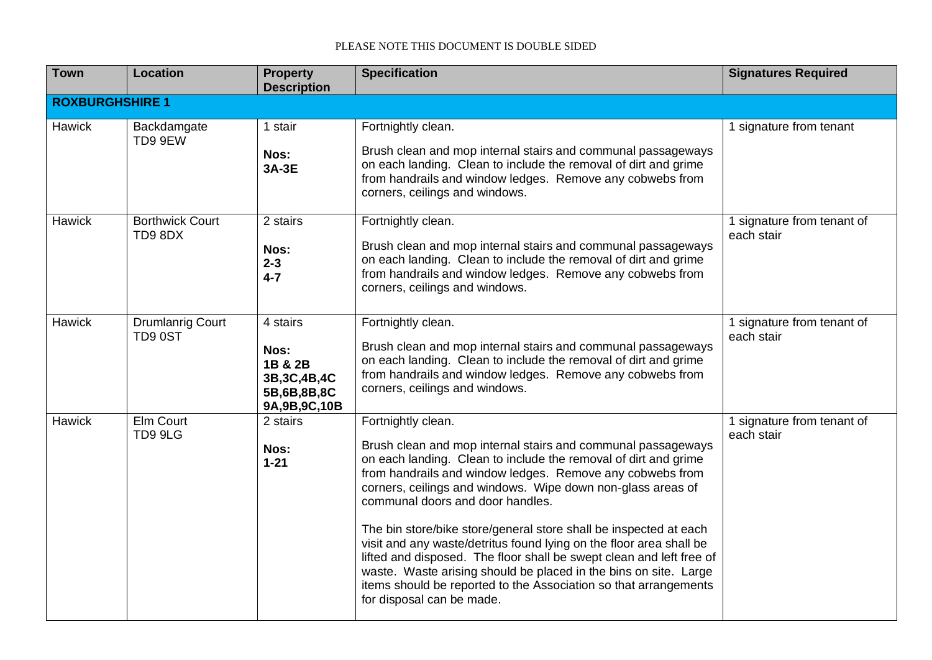| <b>Town</b>            | Location                          | <b>Property</b><br><b>Description</b>                                           | <b>Specification</b>                                                                                                                                                                                                                                                                                                                                                                                                                                                                                                                                                                                                                                                                                           | <b>Signatures Required</b>               |
|------------------------|-----------------------------------|---------------------------------------------------------------------------------|----------------------------------------------------------------------------------------------------------------------------------------------------------------------------------------------------------------------------------------------------------------------------------------------------------------------------------------------------------------------------------------------------------------------------------------------------------------------------------------------------------------------------------------------------------------------------------------------------------------------------------------------------------------------------------------------------------------|------------------------------------------|
| <b>ROXBURGHSHIRE 1</b> |                                   |                                                                                 |                                                                                                                                                                                                                                                                                                                                                                                                                                                                                                                                                                                                                                                                                                                |                                          |
| <b>Hawick</b>          | Backdamgate<br>TD9 9EW            | 1 stair<br>Nos:<br>3A-3E                                                        | Fortnightly clean.<br>Brush clean and mop internal stairs and communal passageways<br>on each landing. Clean to include the removal of dirt and grime<br>from handrails and window ledges. Remove any cobwebs from<br>corners, ceilings and windows.                                                                                                                                                                                                                                                                                                                                                                                                                                                           | 1 signature from tenant                  |
| Hawick                 | <b>Borthwick Court</b><br>TD98DX  | 2 stairs<br>Nos:<br>$2 - 3$<br>$4 - 7$                                          | Fortnightly clean.<br>Brush clean and mop internal stairs and communal passageways<br>on each landing. Clean to include the removal of dirt and grime<br>from handrails and window ledges. Remove any cobwebs from<br>corners, ceilings and windows.                                                                                                                                                                                                                                                                                                                                                                                                                                                           | 1 signature from tenant of<br>each stair |
| <b>Hawick</b>          | <b>Drumlanrig Court</b><br>TD90ST | 4 stairs<br>Nos:<br>1B & 2B<br>3B, 3C, 4B, 4C<br>5B,6B,8B,8C<br>9A, 9B, 9C, 10B | Fortnightly clean.<br>Brush clean and mop internal stairs and communal passageways<br>on each landing. Clean to include the removal of dirt and grime<br>from handrails and window ledges. Remove any cobwebs from<br>corners, ceilings and windows.                                                                                                                                                                                                                                                                                                                                                                                                                                                           | 1 signature from tenant of<br>each stair |
| Hawick                 | Elm Court<br>TD9 9LG              | 2 stairs<br>Nos:<br>$1 - 21$                                                    | Fortnightly clean.<br>Brush clean and mop internal stairs and communal passageways<br>on each landing. Clean to include the removal of dirt and grime<br>from handrails and window ledges. Remove any cobwebs from<br>corners, ceilings and windows. Wipe down non-glass areas of<br>communal doors and door handles.<br>The bin store/bike store/general store shall be inspected at each<br>visit and any waste/detritus found lying on the floor area shall be<br>lifted and disposed. The floor shall be swept clean and left free of<br>waste. Waste arising should be placed in the bins on site. Large<br>items should be reported to the Association so that arrangements<br>for disposal can be made. | 1 signature from tenant of<br>each stair |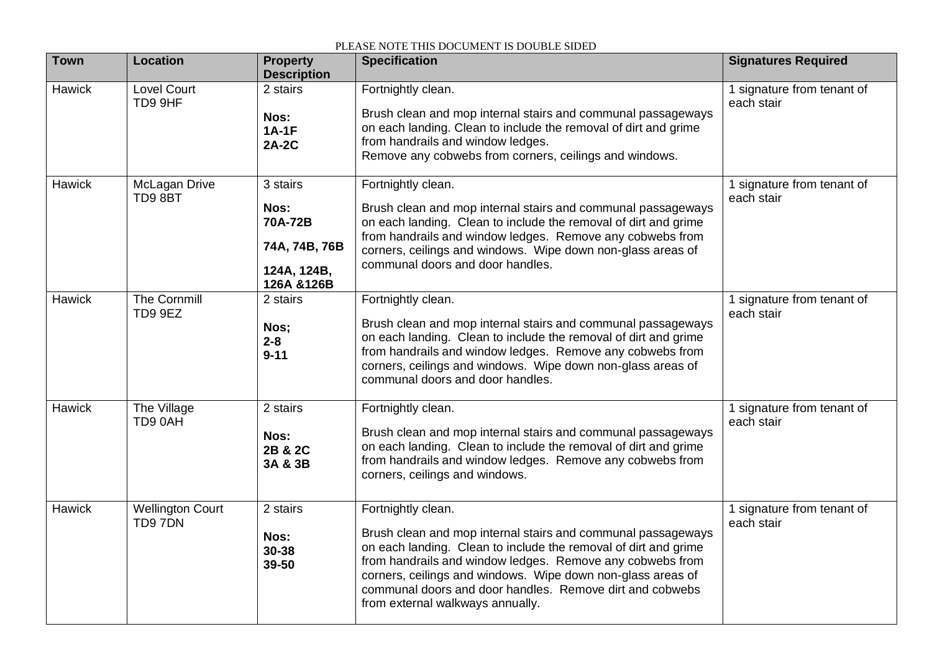| <b>Town</b> | <b>Location</b>                   | <b>Property</b><br><b>Description</b>                                      | <b>Specification</b>                                                                                                                                                                                                                                                                                                                                                              | <b>Signatures Required</b>               |
|-------------|-----------------------------------|----------------------------------------------------------------------------|-----------------------------------------------------------------------------------------------------------------------------------------------------------------------------------------------------------------------------------------------------------------------------------------------------------------------------------------------------------------------------------|------------------------------------------|
| Hawick      | Lovel Court<br>TD9 9HF            | 2 stairs<br>Nos:<br>$1A-1F$<br><b>2A-2C</b>                                | Fortnightly clean.<br>Brush clean and mop internal stairs and communal passageways<br>on each landing. Clean to include the removal of dirt and grime<br>from handrails and window ledges.<br>Remove any cobwebs from corners, ceilings and windows.                                                                                                                              | 1 signature from tenant of<br>each stair |
| Hawick      | McLagan Drive<br>TD98BT           | 3 stairs<br>Nos:<br>70A-72B<br>74A, 74B, 76B<br>124A, 124B,<br>126A & 126B | Fortnightly clean.<br>Brush clean and mop internal stairs and communal passageways<br>on each landing. Clean to include the removal of dirt and grime<br>from handrails and window ledges. Remove any cobwebs from<br>corners, ceilings and windows. Wipe down non-glass areas of<br>communal doors and door handles.                                                             | 1 signature from tenant of<br>each stair |
| Hawick      | <b>The Cornmill</b><br>TD9 9EZ    | 2 stairs<br>Nos;<br>$2 - 8$<br>$9 - 11$                                    | Fortnightly clean.<br>Brush clean and mop internal stairs and communal passageways<br>on each landing. Clean to include the removal of dirt and grime<br>from handrails and window ledges. Remove any cobwebs from<br>corners, ceilings and windows. Wipe down non-glass areas of<br>communal doors and door handles.                                                             | 1 signature from tenant of<br>each stair |
| Hawick      | The Village<br>TD9 0AH            | 2 stairs<br>Nos:<br>2B & 2C<br>3A & 3B                                     | Fortnightly clean.<br>Brush clean and mop internal stairs and communal passageways<br>on each landing. Clean to include the removal of dirt and grime<br>from handrails and window ledges. Remove any cobwebs from<br>corners, ceilings and windows.                                                                                                                              | 1 signature from tenant of<br>each stair |
| Hawick      | <b>Wellington Court</b><br>TD97DN | 2 stairs<br>Nos:<br>30-38<br>39-50                                         | Fortnightly clean.<br>Brush clean and mop internal stairs and communal passageways<br>on each landing. Clean to include the removal of dirt and grime<br>from handrails and window ledges. Remove any cobwebs from<br>corners, ceilings and windows. Wipe down non-glass areas of<br>communal doors and door handles. Remove dirt and cobwebs<br>from external walkways annually. | 1 signature from tenant of<br>each stair |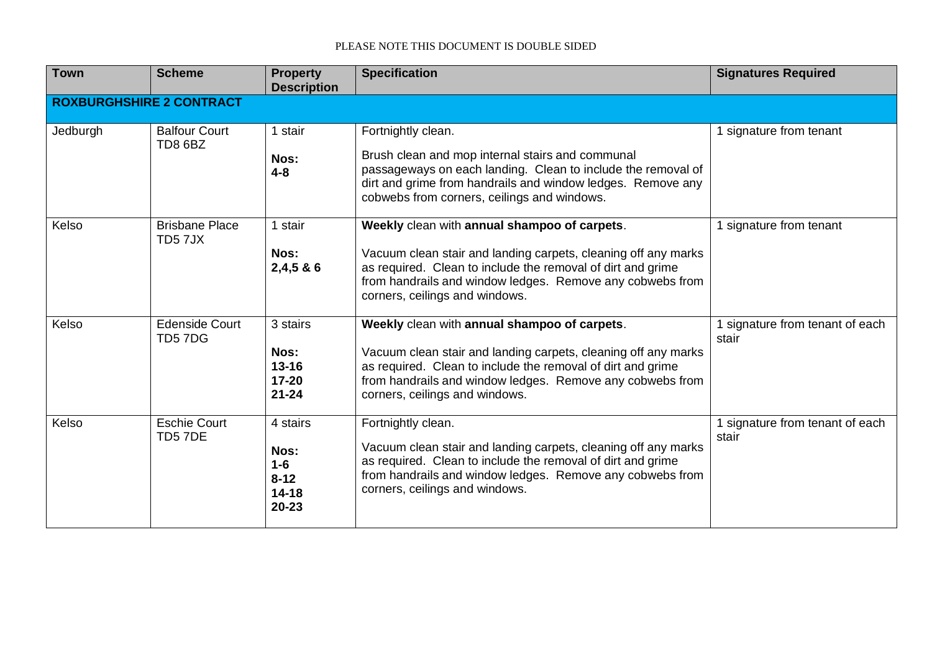| <b>Town</b> | <b>Scheme</b>                   | <b>Property</b><br><b>Description</b>                       | <b>Specification</b>                                                                                                                                                                                                                                                         | <b>Signatures Required</b>               |  |  |  |  |
|-------------|---------------------------------|-------------------------------------------------------------|------------------------------------------------------------------------------------------------------------------------------------------------------------------------------------------------------------------------------------------------------------------------------|------------------------------------------|--|--|--|--|
|             | <b>ROXBURGHSHIRE 2 CONTRACT</b> |                                                             |                                                                                                                                                                                                                                                                              |                                          |  |  |  |  |
| Jedburgh    | <b>Balfour Court</b><br>TD8 6BZ | 1 stair<br>Nos:<br>$4 - 8$                                  | Fortnightly clean.<br>Brush clean and mop internal stairs and communal<br>passageways on each landing. Clean to include the removal of<br>dirt and grime from handrails and window ledges. Remove any<br>cobwebs from corners, ceilings and windows.                         | 1 signature from tenant                  |  |  |  |  |
| Kelso       | <b>Brisbane Place</b><br>TD57JX | 1 stair<br>Nos:<br>2,4,586                                  | Weekly clean with annual shampoo of carpets.<br>Vacuum clean stair and landing carpets, cleaning off any marks<br>as required. Clean to include the removal of dirt and grime<br>from handrails and window ledges. Remove any cobwebs from<br>corners, ceilings and windows. | 1 signature from tenant                  |  |  |  |  |
| Kelso       | <b>Edenside Court</b><br>TD57DG | 3 stairs<br>Nos:<br>$13 - 16$<br>$17 - 20$<br>$21 - 24$     | Weekly clean with annual shampoo of carpets.<br>Vacuum clean stair and landing carpets, cleaning off any marks<br>as required. Clean to include the removal of dirt and grime<br>from handrails and window ledges. Remove any cobwebs from<br>corners, ceilings and windows. | 1 signature from tenant of each<br>stair |  |  |  |  |
| Kelso       | <b>Eschie Court</b><br>TD57DE   | 4 stairs<br>Nos:<br>$1-6$<br>$8 - 12$<br>$14 - 18$<br>20-23 | Fortnightly clean.<br>Vacuum clean stair and landing carpets, cleaning off any marks<br>as required. Clean to include the removal of dirt and grime<br>from handrails and window ledges. Remove any cobwebs from<br>corners, ceilings and windows.                           | 1 signature from tenant of each<br>stair |  |  |  |  |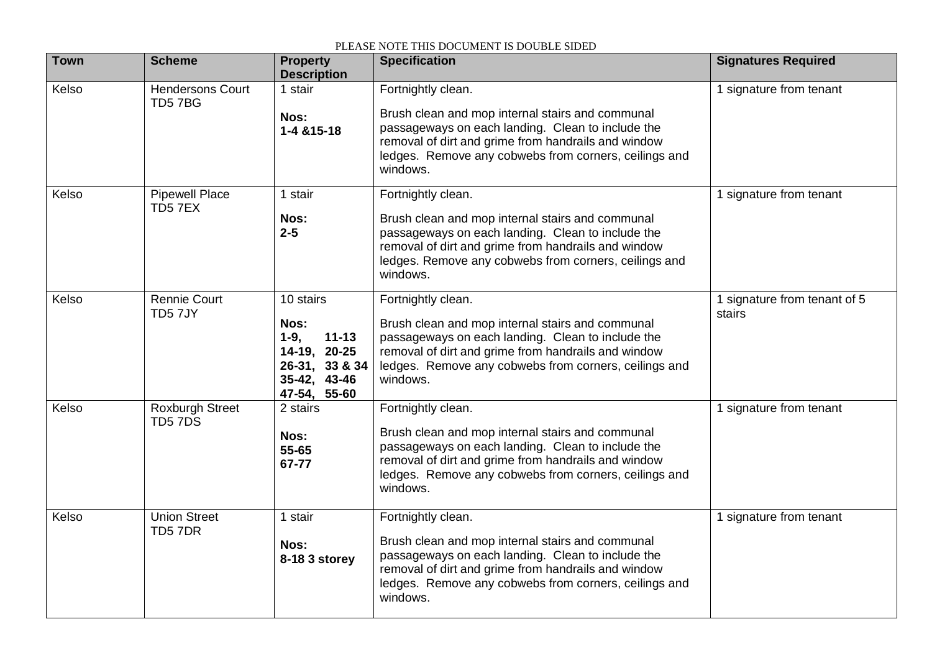| <b>Town</b> | <b>Scheme</b>                     | <b>Property</b><br><b>Description</b>                                                                      | <b>Specification</b>                                                                                                                                                                                                                                    | <b>Signatures Required</b>             |
|-------------|-----------------------------------|------------------------------------------------------------------------------------------------------------|---------------------------------------------------------------------------------------------------------------------------------------------------------------------------------------------------------------------------------------------------------|----------------------------------------|
| Kelso       | <b>Hendersons Court</b><br>TD57BG | 1 stair<br>Nos:<br>1-4 & 15-18                                                                             | Fortnightly clean.<br>Brush clean and mop internal stairs and communal<br>passageways on each landing. Clean to include the<br>removal of dirt and grime from handrails and window<br>ledges. Remove any cobwebs from corners, ceilings and<br>windows. | 1 signature from tenant                |
| Kelso       | <b>Pipewell Place</b><br>TD57EX   | 1 stair<br>Nos:<br>$2 - 5$                                                                                 | Fortnightly clean.<br>Brush clean and mop internal stairs and communal<br>passageways on each landing. Clean to include the<br>removal of dirt and grime from handrails and window<br>ledges. Remove any cobwebs from corners, ceilings and<br>windows. | 1 signature from tenant                |
| Kelso       | <b>Rennie Court</b><br>TD57JY     | 10 stairs<br>Nos:<br>$11 - 13$<br>$1-9,$<br>14-19, 20-25<br>26-31, 33 & 34<br>35-42, 43-46<br>47-54, 55-60 | Fortnightly clean.<br>Brush clean and mop internal stairs and communal<br>passageways on each landing. Clean to include the<br>removal of dirt and grime from handrails and window<br>ledges. Remove any cobwebs from corners, ceilings and<br>windows. | 1 signature from tenant of 5<br>stairs |
| Kelso       | <b>Roxburgh Street</b><br>TD57DS  | 2 stairs<br>Nos:<br>55-65<br>67-77                                                                         | Fortnightly clean.<br>Brush clean and mop internal stairs and communal<br>passageways on each landing. Clean to include the<br>removal of dirt and grime from handrails and window<br>ledges. Remove any cobwebs from corners, ceilings and<br>windows. | 1 signature from tenant                |
| Kelso       | <b>Union Street</b><br>TD57DR     | 1 stair<br>Nos:<br>8-18 3 storey                                                                           | Fortnightly clean.<br>Brush clean and mop internal stairs and communal<br>passageways on each landing. Clean to include the<br>removal of dirt and grime from handrails and window<br>ledges. Remove any cobwebs from corners, ceilings and<br>windows. | 1 signature from tenant                |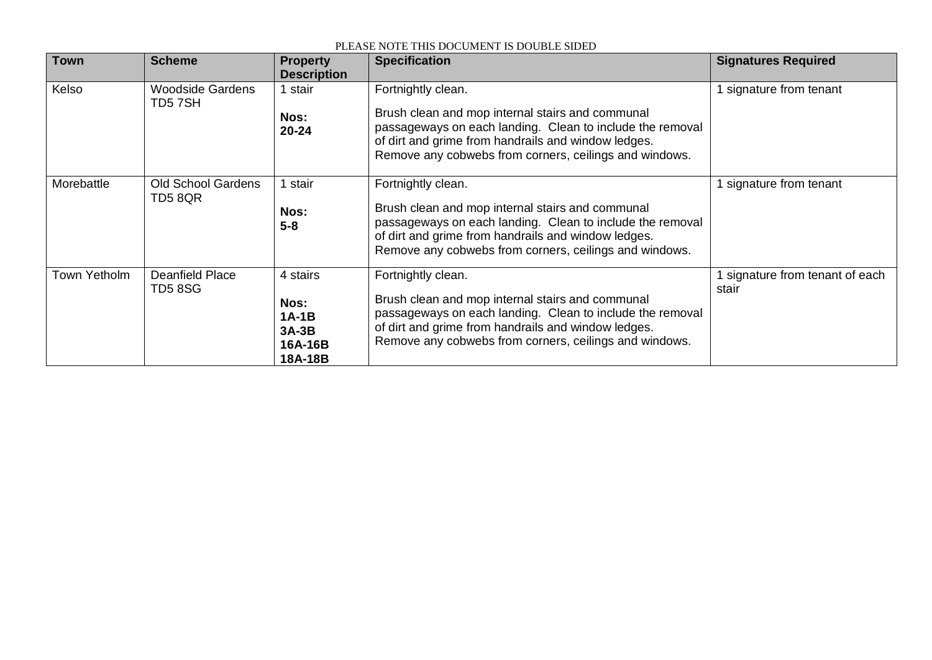| <b>Town</b>  | <b>Scheme</b>                        | <b>Property</b><br><b>Description</b>                        | <b>Specification</b>                                                                                                                                                                                                                                 | <b>Signatures Required</b>               |
|--------------|--------------------------------------|--------------------------------------------------------------|------------------------------------------------------------------------------------------------------------------------------------------------------------------------------------------------------------------------------------------------------|------------------------------------------|
| Kelso        | <b>Woodside Gardens</b><br>TD57SH    | stair<br>Nos:<br>$20 - 24$                                   | Fortnightly clean.<br>Brush clean and mop internal stairs and communal<br>passageways on each landing. Clean to include the removal<br>of dirt and grime from handrails and window ledges.<br>Remove any cobwebs from corners, ceilings and windows. | 1 signature from tenant                  |
| Morebattle   | <b>Old School Gardens</b><br>TD5 8QR | stair<br>Nos:<br>$5 - 8$                                     | Fortnightly clean.<br>Brush clean and mop internal stairs and communal<br>passageways on each landing. Clean to include the removal<br>of dirt and grime from handrails and window ledges.<br>Remove any cobwebs from corners, ceilings and windows. | 1 signature from tenant                  |
| Town Yetholm | Deanfield Place<br>TD58SG            | 4 stairs<br>Nos:<br>$1A-1B$<br>$3A-3B$<br>16A-16B<br>18A-18B | Fortnightly clean.<br>Brush clean and mop internal stairs and communal<br>passageways on each landing. Clean to include the removal<br>of dirt and grime from handrails and window ledges.<br>Remove any cobwebs from corners, ceilings and windows. | 1 signature from tenant of each<br>stair |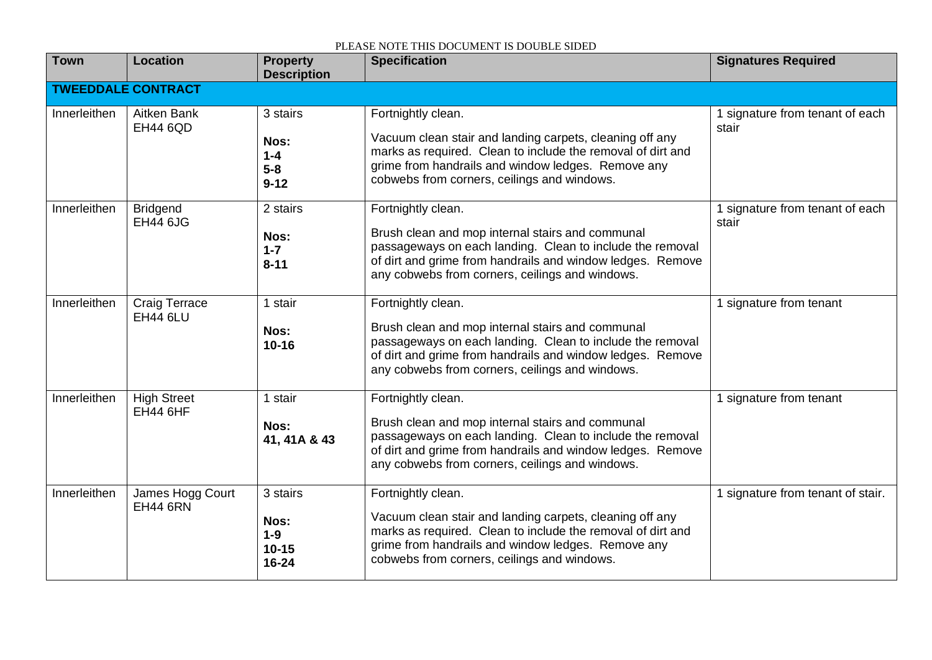| <b>Town</b>               | Location                                | <b>Property</b><br><b>Description</b>            | <b>Specification</b>                                                                                                                                                                                                                                 | <b>Signatures Required</b>               |  |
|---------------------------|-----------------------------------------|--------------------------------------------------|------------------------------------------------------------------------------------------------------------------------------------------------------------------------------------------------------------------------------------------------------|------------------------------------------|--|
| <b>TWEEDDALE CONTRACT</b> |                                         |                                                  |                                                                                                                                                                                                                                                      |                                          |  |
| Innerleithen              | Aitken Bank<br><b>EH44 6QD</b>          | 3 stairs<br>Nos:<br>$1 - 4$<br>$5-8$<br>$9 - 12$ | Fortnightly clean.<br>Vacuum clean stair and landing carpets, cleaning off any<br>marks as required. Clean to include the removal of dirt and<br>grime from handrails and window ledges. Remove any<br>cobwebs from corners, ceilings and windows.   | 1 signature from tenant of each<br>stair |  |
| Innerleithen              | <b>Bridgend</b><br><b>EH44 6JG</b>      | 2 stairs<br>Nos:<br>$1 - 7$<br>$8 - 11$          | Fortnightly clean.<br>Brush clean and mop internal stairs and communal<br>passageways on each landing. Clean to include the removal<br>of dirt and grime from handrails and window ledges. Remove<br>any cobwebs from corners, ceilings and windows. | 1 signature from tenant of each<br>stair |  |
| Innerleithen              | <b>Craig Terrace</b><br><b>EH44 6LU</b> | 1 stair<br>Nos:<br>$10 - 16$                     | Fortnightly clean.<br>Brush clean and mop internal stairs and communal<br>passageways on each landing. Clean to include the removal<br>of dirt and grime from handrails and window ledges. Remove<br>any cobwebs from corners, ceilings and windows. | 1 signature from tenant                  |  |
| Innerleithen              | <b>High Street</b><br><b>EH44 6HF</b>   | 1 stair<br>Nos:<br>41, 41A & 43                  | Fortnightly clean.<br>Brush clean and mop internal stairs and communal<br>passageways on each landing. Clean to include the removal<br>of dirt and grime from handrails and window ledges. Remove<br>any cobwebs from corners, ceilings and windows. | 1 signature from tenant                  |  |
| Innerleithen              | James Hogg Court<br><b>EH44 6RN</b>     | 3 stairs<br>Nos:<br>$1-9$<br>$10 - 15$<br>16-24  | Fortnightly clean.<br>Vacuum clean stair and landing carpets, cleaning off any<br>marks as required. Clean to include the removal of dirt and<br>grime from handrails and window ledges. Remove any<br>cobwebs from corners, ceilings and windows.   | 1 signature from tenant of stair.        |  |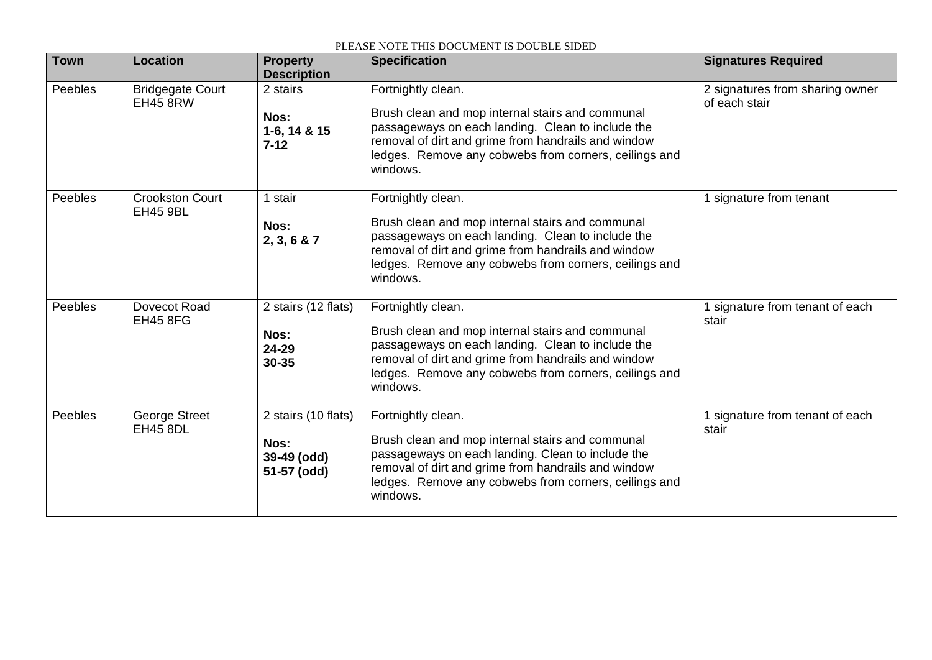| <b>Town</b> | <b>Location</b>                            | <b>Property</b><br><b>Description</b>                     | <b>Specification</b>                                                                                                                                                                                                                                    | <b>Signatures Required</b>                       |
|-------------|--------------------------------------------|-----------------------------------------------------------|---------------------------------------------------------------------------------------------------------------------------------------------------------------------------------------------------------------------------------------------------------|--------------------------------------------------|
| Peebles     | <b>Bridgegate Court</b><br><b>EH45 8RW</b> | 2 stairs<br>Nos:<br>1-6, 14 & 15<br>$7 - 12$              | Fortnightly clean.<br>Brush clean and mop internal stairs and communal<br>passageways on each landing. Clean to include the<br>removal of dirt and grime from handrails and window<br>ledges. Remove any cobwebs from corners, ceilings and<br>windows. | 2 signatures from sharing owner<br>of each stair |
| Peebles     | <b>Crookston Court</b><br><b>EH45 9BL</b>  | 1 stair<br>Nos:<br>2, 3, 6 & 7                            | Fortnightly clean.<br>Brush clean and mop internal stairs and communal<br>passageways on each landing. Clean to include the<br>removal of dirt and grime from handrails and window<br>ledges. Remove any cobwebs from corners, ceilings and<br>windows. | signature from tenant                            |
| Peebles     | Dovecot Road<br><b>EH45 8FG</b>            | 2 stairs (12 flats)<br>Nos:<br>24-29<br>30-35             | Fortnightly clean.<br>Brush clean and mop internal stairs and communal<br>passageways on each landing. Clean to include the<br>removal of dirt and grime from handrails and window<br>ledges. Remove any cobwebs from corners, ceilings and<br>windows. | 1 signature from tenant of each<br>stair         |
| Peebles     | George Street<br><b>EH45 8DL</b>           | 2 stairs (10 flats)<br>Nos:<br>39-49 (odd)<br>51-57 (odd) | Fortnightly clean.<br>Brush clean and mop internal stairs and communal<br>passageways on each landing. Clean to include the<br>removal of dirt and grime from handrails and window<br>ledges. Remove any cobwebs from corners, ceilings and<br>windows. | 1 signature from tenant of each<br>stair         |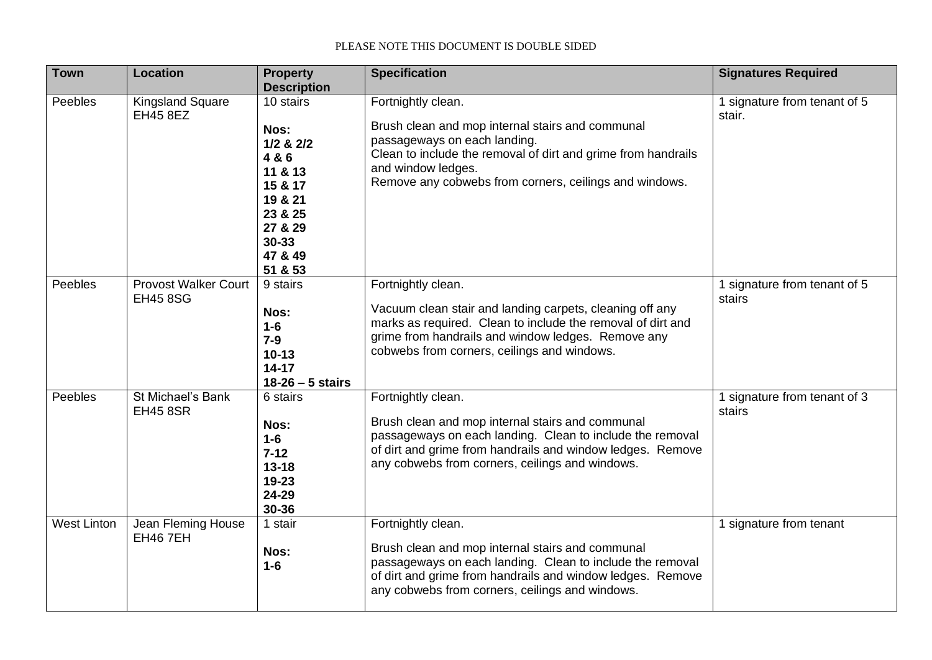| <b>Town</b>        | <b>Location</b>                                | <b>Property</b><br><b>Description</b>                                                                                                 | <b>Specification</b>                                                                                                                                                                                                                                    | <b>Signatures Required</b>             |
|--------------------|------------------------------------------------|---------------------------------------------------------------------------------------------------------------------------------------|---------------------------------------------------------------------------------------------------------------------------------------------------------------------------------------------------------------------------------------------------------|----------------------------------------|
| Peebles            | <b>Kingsland Square</b><br><b>EH45 8EZ</b>     | 10 stairs<br>Nos:<br>$1/2$ & $2/2$<br>4 & 6<br>11 & 13<br>15 & 17<br>19 & 21<br>23 & 25<br>27 & 29<br>$30 - 33$<br>47 & 49<br>51 & 53 | Fortnightly clean.<br>Brush clean and mop internal stairs and communal<br>passageways on each landing.<br>Clean to include the removal of dirt and grime from handrails<br>and window ledges.<br>Remove any cobwebs from corners, ceilings and windows. | 1 signature from tenant of 5<br>stair. |
| Peebles            | <b>Provost Walker Court</b><br><b>EH45 8SG</b> | 9 stairs<br>Nos:<br>$1-6$<br>$7-9$<br>$10 - 13$<br>$14 - 17$<br>$18-26-5$ stairs                                                      | Fortnightly clean.<br>Vacuum clean stair and landing carpets, cleaning off any<br>marks as required. Clean to include the removal of dirt and<br>grime from handrails and window ledges. Remove any<br>cobwebs from corners, ceilings and windows.      | 1 signature from tenant of 5<br>stairs |
| Peebles            | St Michael's Bank<br><b>EH45 8SR</b>           | 6 stairs<br>Nos:<br>$1-6$<br>$7 - 12$<br>$13 - 18$<br>19-23<br>24-29<br>30-36                                                         | Fortnightly clean.<br>Brush clean and mop internal stairs and communal<br>passageways on each landing. Clean to include the removal<br>of dirt and grime from handrails and window ledges. Remove<br>any cobwebs from corners, ceilings and windows.    | 1 signature from tenant of 3<br>stairs |
| <b>West Linton</b> | Jean Fleming House<br><b>EH46 7EH</b>          | 1 stair<br>Nos:<br>$1-6$                                                                                                              | Fortnightly clean.<br>Brush clean and mop internal stairs and communal<br>passageways on each landing. Clean to include the removal<br>of dirt and grime from handrails and window ledges. Remove<br>any cobwebs from corners, ceilings and windows.    | 1 signature from tenant                |